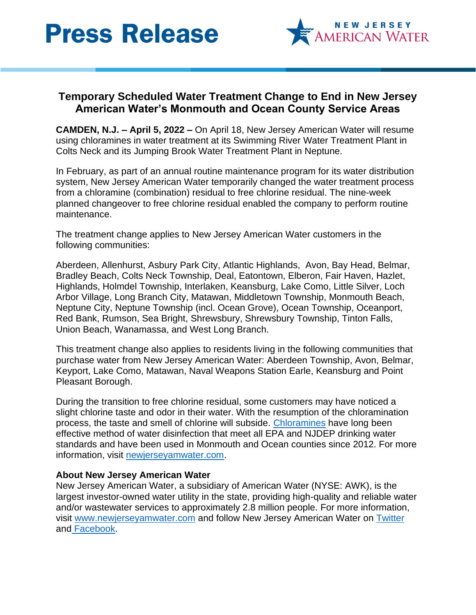



## **Temporary Scheduled Water Treatment Change to End in New Jersey American Water's Monmouth and Ocean County Service Areas**

**CAMDEN, N.J. – April 5, 2022 –** On April 18, New Jersey American Water will resume using chloramines in water treatment at its Swimming River Water Treatment Plant in Colts Neck and its Jumping Brook Water Treatment Plant in Neptune.

In February, as part of an annual routine maintenance program for its water distribution system, New Jersey American Water temporarily changed the water treatment process from a chloramine (combination) residual to free chlorine residual. The nine-week planned changeover to free chlorine residual enabled the company to perform routine maintenance.

The treatment change applies to New Jersey American Water customers in the following communities:

Aberdeen, Allenhurst, Asbury Park City, Atlantic Highlands, Avon, Bay Head, Belmar, Bradley Beach, Colts Neck Township, Deal, Eatontown, Elberon, Fair Haven, Hazlet, Highlands, Holmdel Township, Interlaken, Keansburg, Lake Como, Little Silver, Loch Arbor Village, Long Branch City, Matawan, Middletown Township, Monmouth Beach, Neptune City, Neptune Township (incl. Ocean Grove), Ocean Township, Oceanport, Red Bank, Rumson, Sea Bright, Shrewsbury, Shrewsbury Township, Tinton Falls, Union Beach, Wanamassa, and West Long Branch.

This treatment change also applies to residents living in the following communities that purchase water from New Jersey American Water: Aberdeen Township, Avon, Belmar, Keyport, Lake Como, Matawan, Naval Weapons Station Earle, Keansburg and Point Pleasant Borough.

During the transition to free chlorine residual, some customers may have noticed a slight chlorine taste and odor in their water. With the resumption of the chloramination process, the taste and smell of chlorine will subside. [Chloramines](https://amwater.com/njaw/water-quality/chloramine) have long been effective method of water disinfection that meet all EPA and NJDEP drinking water standards and have been used in Monmouth and Ocean counties since 2012. For more information, visit [newjerseyamwater.com.](https://amwater.com/njaw/)

#### **About New Jersey American Water**

New Jersey American Water, a subsidiary of American Water (NYSE: AWK), is the largest investor-owned water utility in the state, providing high-quality and reliable water and/or wastewater services to approximately 2.8 million people. For more information, visit [www.newjerseyamwater.com](http://www.newjerseyamwater.com/) and follow New Jersey American Water on [Twitter](https://twitter.com/njamwater) and [Facebook.](https://www.facebook.com/njamwater)